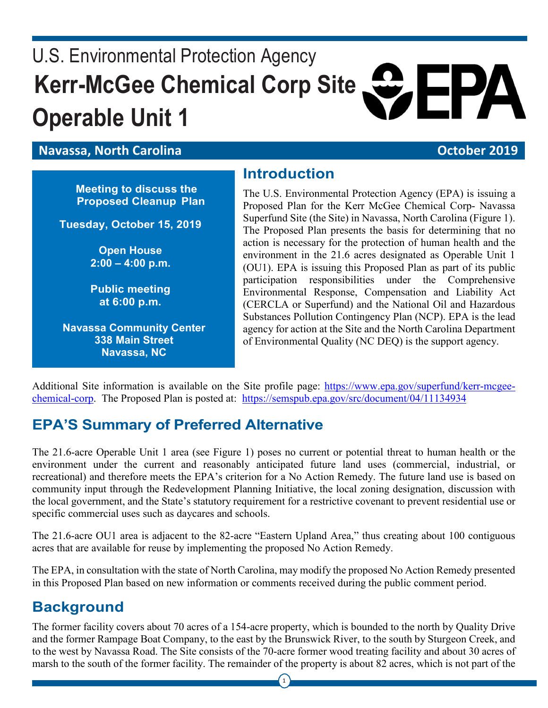# U.S. Environmental Protection Agency **Kerr-McGee Chemical Corp Site Operable Unit 1** &EPA

#### **Navassa, North Carolina Carolina Carolina Carolina and Carolina Carolina Carolina Carolina Carolina Carolina Carolina Carolina Carolina Carolina Carolina Carolina Carolina Carolina Carolina Carolina Carolina Carolina**

**Meeting to discuss the Proposed Cleanup Plan**

**Tuesday, October 15, 2019** 

**Open House 2:00 – 4:00 p.m.**

**Public meeting at 6:00 p.m.**

**Navassa Community Center 338 Main Street Navassa, NC**

#### **Introduction**

The U.S. Environmental Protection Agency (EPA) is issuing a Proposed Plan for the Kerr McGee Chemical Corp- Navassa Superfund Site (the Site) in Navassa, North Carolina (Figure 1). The Proposed Plan presents the basis for determining that no action is necessary for the protection of human health and the environment in the 21.6 acres designated as Operable Unit 1 (OU1). EPA is issuing this Proposed Plan as part of its public participation responsibilities under the Comprehensive Environmental Response, Compensation and Liability Act (CERCLA or Superfund) and the National Oil and Hazardous Substances Pollution Contingency Plan (NCP). EPA is the lead agency for action at the Site and the North Carolina Department of Environmental Quality (NC DEQ) is the support agency.

Additional Site information is available on the Site profile page: [https://www.epa.gov/superfund/kerr-mcgee](https://www.epa.gov/superfund/kerr-mcgee-chemical-corp)[chemical-corp.](https://www.epa.gov/superfund/kerr-mcgee-chemical-corp) The Proposed Plan is posted at: <https://semspub.epa.gov/src/document/04/11134934>

## **EPA'S Summary of Preferred Alternative**

The 21.6-acre Operable Unit 1 area (see Figure 1) poses no current or potential threat to human health or the environment under the current and reasonably anticipated future land uses (commercial, industrial, or recreational) and therefore meets the EPA's criterion for a No Action Remedy. The future land use is based on community input through the Redevelopment Planning Initiative, the local zoning designation, discussion with the local government, and the State's statutory requirement for a restrictive covenant to prevent residential use or specific commercial uses such as daycares and schools.

The 21.6-acre OU1 area is adjacent to the 82-acre "Eastern Upland Area," thus creating about 100 contiguous acres that are available for reuse by implementing the proposed No Action Remedy.

The EPA, in consultation with the state of North Carolina, may modify the proposed No Action Remedy presented in this Proposed Plan based on new information or comments received during the public comment period.

### **Background**

The former facility covers about 70 acres of a 154-acre property, which is bounded to the north by Quality Drive and the former Rampage Boat Company, to the east by the Brunswick River, to the south by Sturgeon Creek, and to the west by Navassa Road. The Site consists of the 70-acre former wood treating facility and about 30 acres of marsh to the south of the former facility. The remainder of the property is about 82 acres, which is not part of the

1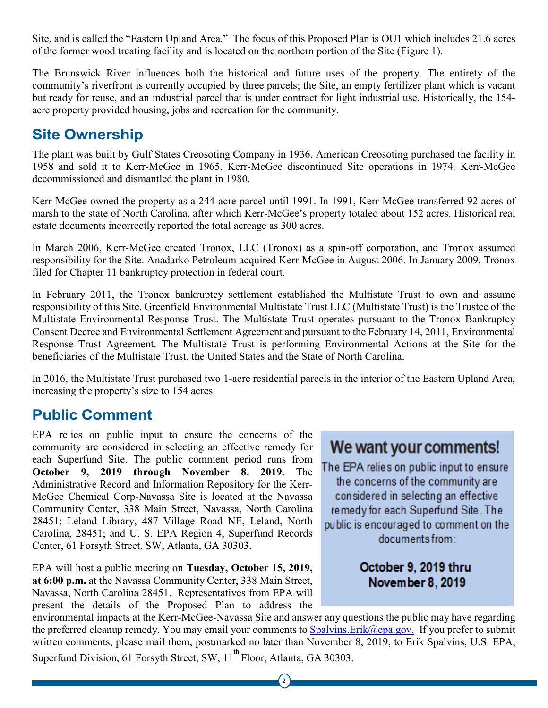Site, and is called the "Eastern Upland Area." The focus of this Proposed Plan is OU1 which includes 21.6 acres of the former wood treating facility and is located on the northern portion of the Site (Figure 1).

The Brunswick River influences both the historical and future uses of the property. The entirety of the community's riverfront is currently occupied by three parcels; the Site, an empty fertilizer plant which is vacant but ready for reuse, and an industrial parcel that is under contract for light industrial use. Historically, the 154 acre property provided housing, jobs and recreation for the community.

### **Site Ownership**

The plant was built by Gulf States Creosoting Company in 1936. American Creosoting purchased the facility in 1958 and sold it to Kerr-McGee in 1965. Kerr-McGee discontinued Site operations in 1974. Kerr-McGee decommissioned and dismantled the plant in 1980.

Kerr-McGee owned the property as a 244-acre parcel until 1991. In 1991, Kerr-McGee transferred 92 acres of marsh to the state of North Carolina, after which Kerr-McGee's property totaled about 152 acres. Historical real estate documents incorrectly reported the total acreage as 300 acres.

In March 2006, Kerr-McGee created Tronox, LLC (Tronox) as a spin-off corporation, and Tronox assumed responsibility for the Site. Anadarko Petroleum acquired Kerr-McGee in August 2006. In January 2009, Tronox filed for Chapter 11 bankruptcy protection in federal court.

In February 2011, the Tronox bankruptcy settlement established the Multistate Trust to own and assume responsibility of this Site. Greenfield Environmental Multistate Trust LLC (Multistate Trust) is the Trustee of the Multistate Environmental Response Trust. The Multistate Trust operates pursuant to the Tronox Bankruptcy Consent Decree and Environmental Settlement Agreement and pursuant to the February 14, 2011, Environmental Response Trust Agreement. The Multistate Trust is performing Environmental Actions at the Site for the beneficiaries of the Multistate Trust, the United States and the State of North Carolina.

In 2016, the Multistate Trust purchased two 1-acre residential parcels in the interior of the Eastern Upland Area, increasing the property's size to 154 acres.

### **Public Comment**

EPA relies on public input to ensure the concerns of the community are considered in selecting an effective remedy for each Superfund Site. The public comment period runs from **October 9, 2019 through November 8, 2019.** The Administrative Record and Information Repository for the Kerr-McGee Chemical Corp-Navassa Site is located at the Navassa Community Center, 338 Main Street, Navassa, North Carolina 28451; Leland Library, 487 Village Road NE, Leland, North Carolina, 28451; and U. S. EPA Region 4, Superfund Records Center, 61 Forsyth Street, SW, Atlanta, GA 30303.

EPA will host a public meeting on **Tuesday, October 15, 2019, at 6:00 p.m.** at the Navassa Community Center, 338 Main Street, Navassa, North Carolina 28451. Representatives from EPA will present the details of the Proposed Plan to address the

## **We want your comments!**

The EPA relies on public input to ensure the concerns of the community are con side red in se lecting an effective remedy for each Superfund Site. The public is encouraged to comment on the documents from:

#### **October 9, 2019 thru November Si, 201 19**

environmental impacts at the Kerr-McGee-Navassa Site and answer any questions the public may have regarding the preferred cleanup remedy. You may email your comments to  $Spalvins.Erik@epa.gov$ . If you prefer to submit written comments, please mail them, postmarked no later than November 8, 2019, to Erik Spalvins, U.S. EPA, Superfund Division, 61 Forsyth Street, SW, 11<sup>th</sup> Floor, Atlanta, GA 30303.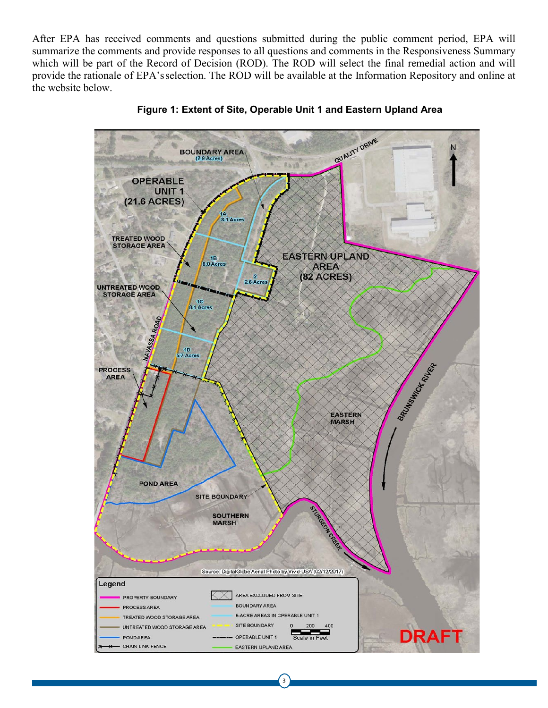After EPA has received comments and questions submitted during the public comment period, EPA will summarize the comments and provide responses to all questions and comments in the Responsiveness Summary which will be part of the Record of Decision (ROD). The ROD will select the final remedial action and will provide the rationale of EPA'sselection. The ROD will be available at the Information Repository and online at the website below.



**Figure 1: Extent of Site, Operable Unit 1 and Eastern Upland Area**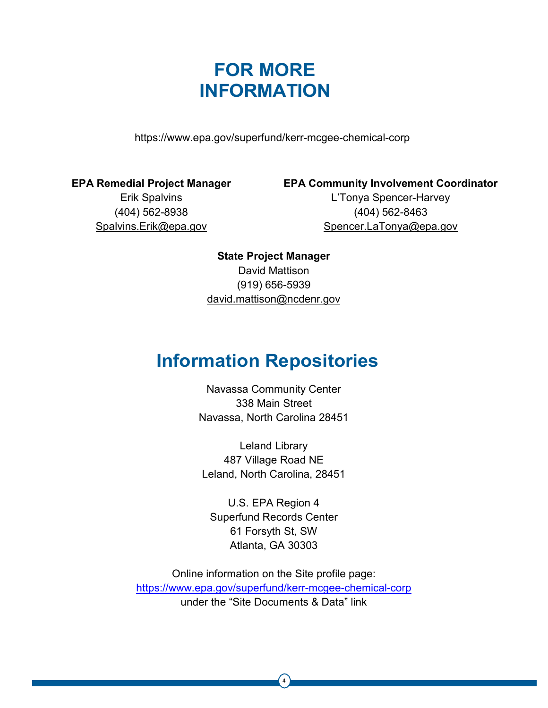## **FOR MORE INFORMATION**

<https://www.epa.gov/superfund/kerr-mcgee-chemical-corp>

**EPA Remedial Project Manager**

Erik Spalvins (404) 562-8938 [Spalvins.Erik@epa.gov](mailto:Spalvins.Erik@epa.gov) **EPA Community Involvement Coordinator** L'Tonya Spencer-Harvey (404) 562-8463 [Spencer.LaTonya@epa.gov](mailto:Spencer.LaTonya@epa.gov)

**State Project Manager** David Mattison (919) 656-5939 [david.mattison@ncdenr.gov](mailto:david.mattison@ncdenr.gov)

## **Information Repositories**

Navassa Community Center 338 Main Street Navassa, North Carolina 28451

Leland Library 487 Village Road NE Leland, North Carolina, 28451

U.S. EPA Region 4 Superfund Records Center 61 Forsyth St, SW Atlanta, GA 30303

Online information on the Site profile page: <https://www.epa.gov/superfund/kerr-mcgee-chemical-corp> under the "Site Documents & Data" link

4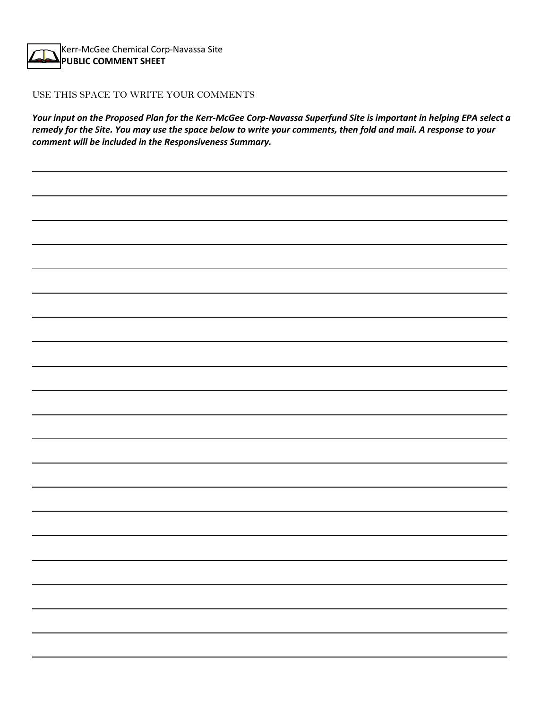Kerr-McGee Chemical Corp-Navassa Site **PUBLIC COMMENT SHEET**

#### USE THIS SPACE TO WRITE YOUR COMMENTS

*Your input on the Proposed Plan for the Kerr-McGee Corp-Navassa Superfund Site is important in helping EPA select a remedy for the Site. You may use the space below to write your comments, then fold and mail. A response to your comment will be included in the Responsiveness Summary.*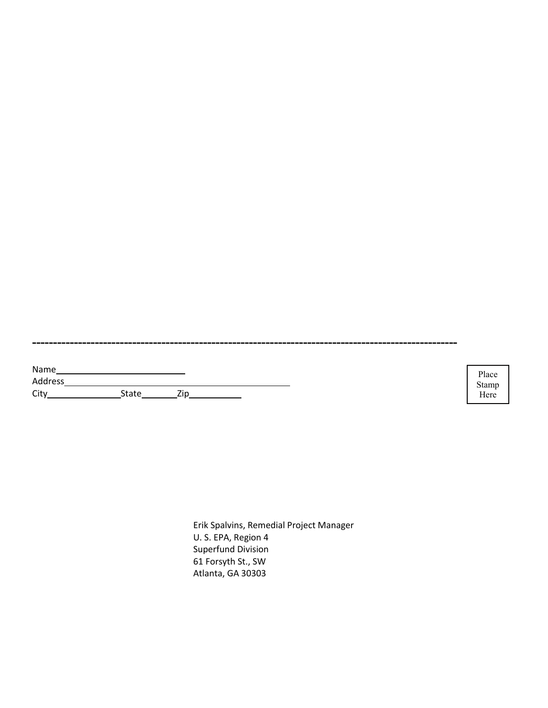| Name    |       |     |  |
|---------|-------|-----|--|
| Address |       |     |  |
| City    | State | 7in |  |

Place Stamp<br>Here Stamp<br>Here

Erik Spalvins, Remedial Project Manager U. S. EPA, Region 4 Superfund Division 61 Forsyth St., SW Atlanta, GA 30303